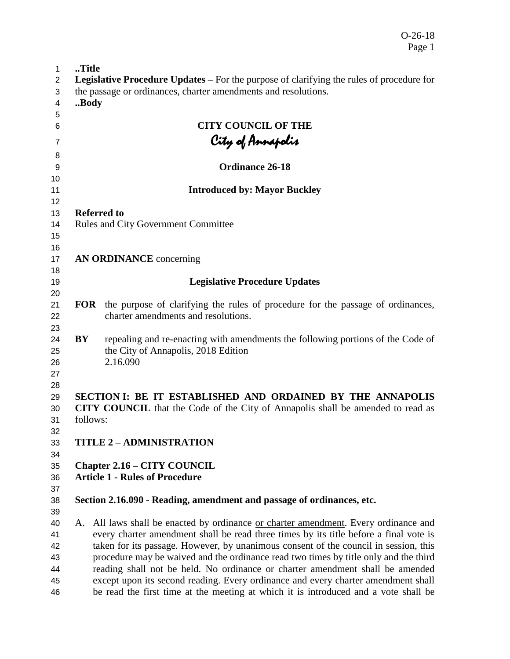O-26-18 Page 1

| 1                          | Title      |                                                                                                                                                                           |
|----------------------------|------------|---------------------------------------------------------------------------------------------------------------------------------------------------------------------------|
| 2                          |            | <b>Legislative Procedure Updates – For the purpose of clarifying the rules of procedure for</b>                                                                           |
| 3                          |            | the passage or ordinances, charter amendments and resolutions.                                                                                                            |
| 4                          | Body       |                                                                                                                                                                           |
| 5                          |            |                                                                                                                                                                           |
| 6                          |            | <b>CITY COUNCIL OF THE</b>                                                                                                                                                |
| 7                          |            |                                                                                                                                                                           |
| 8                          |            | City of Annapolis<br>-                                                                                                                                                    |
| 9                          |            | Ordinance 26-18                                                                                                                                                           |
| 10                         |            |                                                                                                                                                                           |
| 11                         |            | <b>Introduced by: Mayor Buckley</b>                                                                                                                                       |
| 12                         |            |                                                                                                                                                                           |
| 13                         |            | <b>Referred to</b>                                                                                                                                                        |
| 14                         |            | <b>Rules and City Government Committee</b>                                                                                                                                |
| 15                         |            |                                                                                                                                                                           |
| 16                         |            | <b>AN ORDINANCE</b> concerning                                                                                                                                            |
| 17<br>18                   |            |                                                                                                                                                                           |
| 19                         |            | <b>Legislative Procedure Updates</b>                                                                                                                                      |
| 20                         |            |                                                                                                                                                                           |
| 21                         | <b>FOR</b> | the purpose of clarifying the rules of procedure for the passage of ordinances,                                                                                           |
| 22                         |            | charter amendments and resolutions.                                                                                                                                       |
| 23<br>24<br>25<br>26<br>27 | BY         | repealing and re-enacting with amendments the following portions of the Code of<br>the City of Annapolis, 2018 Edition<br>2.16.090                                        |
| 28<br>29<br>30<br>31       |            | SECTION I: BE IT ESTABLISHED AND ORDAINED BY THE ANNAPOLIS<br><b>CITY COUNCIL</b> that the Code of the City of Annapolis shall be amended to read as<br>follows:          |
| 32<br>33<br>34             |            | <b>TITLE 2 - ADMINISTRATION</b>                                                                                                                                           |
| 35                         |            | <b>Chapter 2.16 – CITY COUNCIL</b>                                                                                                                                        |
| 36                         |            | <b>Article 1 - Rules of Procedure</b>                                                                                                                                     |
| 37                         |            |                                                                                                                                                                           |
| 38                         |            | Section 2.16.090 - Reading, amendment and passage of ordinances, etc.                                                                                                     |
| 39                         |            |                                                                                                                                                                           |
| 40<br>41                   | A.         | All laws shall be enacted by ordinance or charter amendment. Every ordinance and<br>every charter amendment shall be read three times by its title before a final vote is |
| 42                         |            | taken for its passage. However, by unanimous consent of the council in session, this                                                                                      |
| 43                         |            | procedure may be waived and the ordinance read two times by title only and the third                                                                                      |
| 44                         |            | reading shall not be held. No ordinance or charter amendment shall be amended                                                                                             |
| 45                         |            | except upon its second reading. Every ordinance and every charter amendment shall                                                                                         |
| 46                         |            | be read the first time at the meeting at which it is introduced and a vote shall be                                                                                       |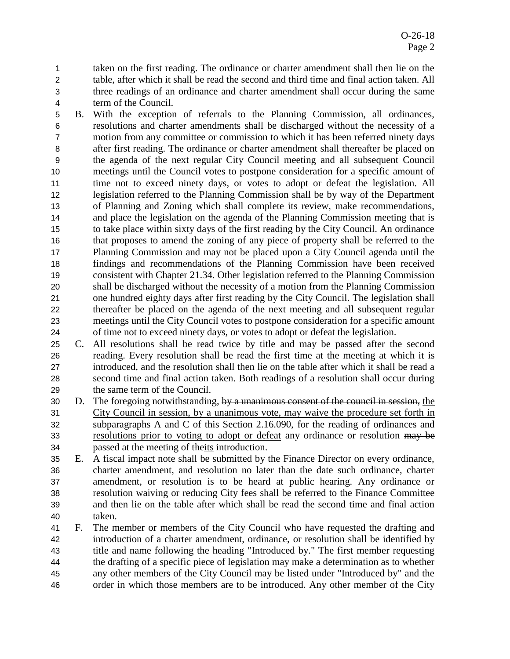taken on the first reading. The ordinance or charter amendment shall then lie on the table, after which it shall be read the second and third time and final action taken. All three readings of an ordinance and charter amendment shall occur during the same term of the Council.

 B. With the exception of referrals to the Planning Commission, all ordinances, resolutions and charter amendments shall be discharged without the necessity of a motion from any committee or commission to which it has been referred ninety days after first reading. The ordinance or charter amendment shall thereafter be placed on the agenda of the next regular City Council meeting and all subsequent Council meetings until the Council votes to postpone consideration for a specific amount of 11 time not to exceed ninety days, or votes to adopt or defeat the legislation. All legislation referred to the Planning Commission shall be by way of the Department of Planning and Zoning which shall complete its review, make recommendations, and place the legislation on the agenda of the Planning Commission meeting that is to take place within sixty days of the first reading by the City Council. An ordinance that proposes to amend the zoning of any piece of property shall be referred to the Planning Commission and may not be placed upon a City Council agenda until the findings and recommendations of the Planning Commission have been received consistent with Chapter 21.34. Other legislation referred to the Planning Commission shall be discharged without the necessity of a motion from the Planning Commission one hundred eighty days after first reading by the City Council. The legislation shall thereafter be placed on the agenda of the next meeting and all subsequent regular meetings until the City Council votes to postpone consideration for a specific amount of time not to exceed ninety days, or votes to adopt or defeat the legislation.

 C. All resolutions shall be read twice by title and may be passed after the second reading. Every resolution shall be read the first time at the meeting at which it is introduced, and the resolution shall then lie on the table after which it shall be read a second time and final action taken. Both readings of a resolution shall occur during the same term of the Council.

30 D. The foregoing notwithstanding, by a unanimous consent of the council in session, the City Council in session, by a unanimous vote, may waive the procedure set forth in subparagraphs A and C of this Section 2.16.090, for the reading of ordinances and 33 resolutions prior to voting to adopt or defeat any ordinance or resolution may be **passed** at the meeting of theits introduction.

 E. A fiscal impact note shall be submitted by the Finance Director on every ordinance, charter amendment, and resolution no later than the date such ordinance, charter amendment, or resolution is to be heard at public hearing. Any ordinance or resolution waiving or reducing City fees shall be referred to the Finance Committee and then lie on the table after which shall be read the second time and final action taken.

 F. The member or members of the City Council who have requested the drafting and introduction of a charter amendment, ordinance, or resolution shall be identified by title and name following the heading "Introduced by." The first member requesting the drafting of a specific piece of legislation may make a determination as to whether any other members of the City Council may be listed under "Introduced by" and the order in which those members are to be introduced. Any other member of the City